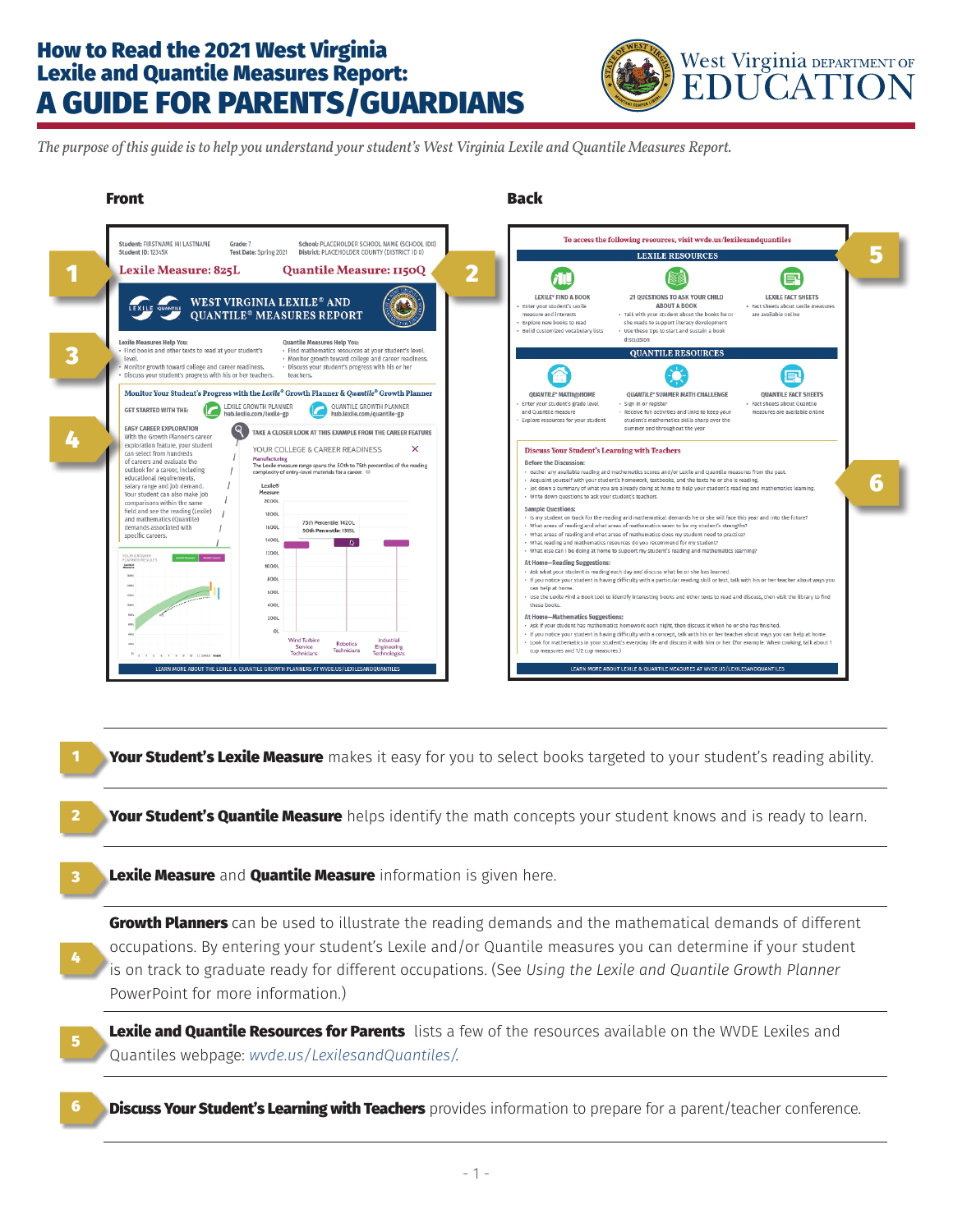## How to Read the 2021 West Virginia Lexile and Quantile Measures Report: A GUIDE FOR PARENTS/GUARDIANS



*The purpose of this guide is to help you understand your student's West Virginia Lexile and Quantile Measures Report.*



Your Student's Lexile Measure makes it easy for you to select books targeted to your student's reading ability.

**Your Student's Quantile Measure** helps identify the math concepts your student knows and is ready to learn.

Lexile Measure and **Quantile Measure** information is given here. 3

1

2

4

5

Growth Planners can be used to illustrate the reading demands and the mathematical demands of different occupations. By entering your student's Lexile and/or Quantile measures you can determine if your student is on track to graduate ready for different occupations. (See *Using the Lexile and Quantile Growth Planner* PowerPoint for more information.)

Lexile and Quantile Resources for Parents lists a few of the resources available on the WVDE Lexiles and Quantiles webpage: *wvde.us/LexilesandQuantiles/*.

**Discuss Your Student's Learning with Teachers** provides information to prepare for a parent/teacher conference. 6